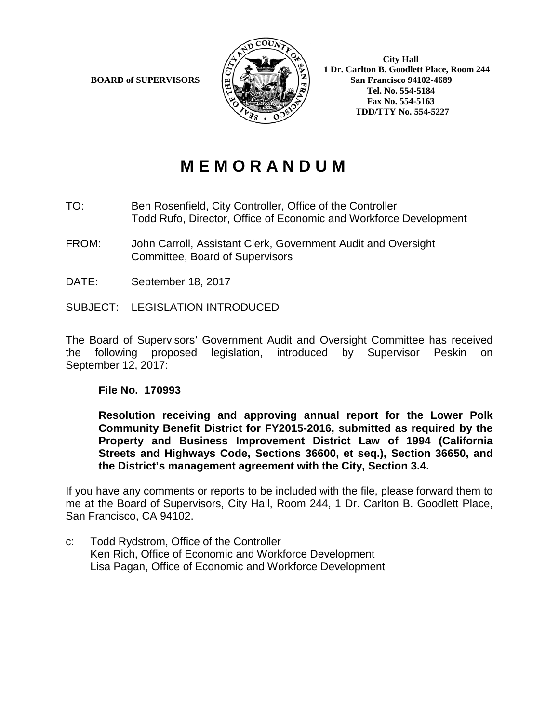

**BOARD of SUPERVISORS**  $\begin{pmatrix} 57 \\ 80 \\ 100 \end{pmatrix}$  **1** Dr. Carlton B. Goodlett Place, Room 244 **San Francisco 94102-4689 Tel. No. 554-5184 Fax No. 554-5163 TDD/TTY No. 554-5227**

## **M E M O R A N D U M**

- TO: Ben Rosenfield, City Controller, Office of the Controller Todd Rufo, Director, Office of Economic and Workforce Development
- FROM: John Carroll, Assistant Clerk, Government Audit and Oversight Committee, Board of Supervisors
- DATE: September 18, 2017

SUBJECT: LEGISLATION INTRODUCED

The Board of Supervisors' Government Audit and Oversight Committee has received the following proposed legislation, introduced by Supervisor Peskin on September 12, 2017:

## **File No. 170993**

**Resolution receiving and approving annual report for the Lower Polk Community Benefit District for FY2015-2016, submitted as required by the Property and Business Improvement District Law of 1994 (California Streets and Highways Code, Sections 36600, et seq.), Section 36650, and the District's management agreement with the City, Section 3.4.**

If you have any comments or reports to be included with the file, please forward them to me at the Board of Supervisors, City Hall, Room 244, 1 Dr. Carlton B. Goodlett Place, San Francisco, CA 94102.

c: Todd Rydstrom, Office of the Controller Ken Rich, Office of Economic and Workforce Development Lisa Pagan, Office of Economic and Workforce Development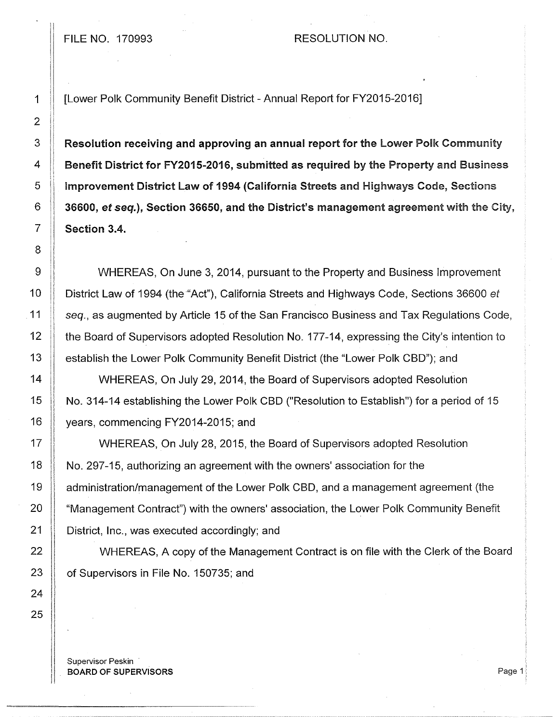## FILE NO. 170993 RESOLUTION NO.

## 2 8 24 25

1 [Lower Polk Community Benefit District-Annual Report for FY2015-2016]

3 Resolution receiving and approving an annual report for the lower Polk Community 4 **Benefit District for FY2015-2016, submitted as required by the Property and Business** 5 Improvement District law of 1994 (California Streets and Highways Code, Sections 6 36600, *et* seq.), Section 36650, and the District's management agreement with the City,  $7 \parallel$  Section 3.4.

9 WHEREAS, On June 3, 2014, pursuant to the Property and Business Improvement 10 | District Law of 1994 (the "Act"), California Streets and Highways Code, Sections 36600 et 11 Seq., as augmented by Article 15 of the San Francisco Business and Tax Regulations Code, 12 **the Board of Supervisors adopted Resolution No. 177-14, expressing the City's intention to** 13 | establish the Lower Polk Community Benefit District (the "Lower Polk CBD"); and

14 WHEREAS, On July 29, 2014, the Board of Supervisors adopted Resolution 15 No. 314-14 establishing the Lower Polk CBD ("Resolution to Establish") for a period of 15 16 | years, commencing FY2014-2015; and

17 WHEREAS, On July 28, 2015, the Board of Supervisors adopted Resolution 18 No. 297-15, authorizing an agreement with the owners' association for the 19 administration/management of the Lower Polk CBD, and a management agreement (the 20 | "Management Contract") with the owners' association, the Lower Polk Community Benefit 21 **District, Inc., was executed accordingly; and** 

22 | WHEREAS, A copy of the Management Contract is on file with the Clerk of the Board 23 **of Supervisors in File No. 150735; and** 

Supervisor Peskin BOARD OF SUPERVISORS Page 1